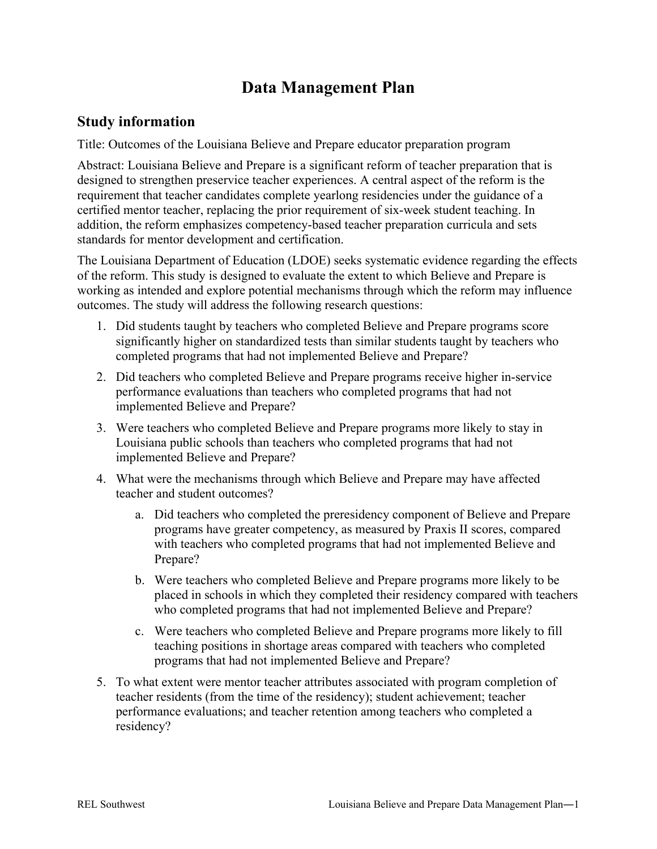# **Data Management Plan**

#### **Study information**

Title: Outcomes of the Louisiana Believe and Prepare educator preparation program

Abstract: Louisiana Believe and Prepare is a significant reform of teacher preparation that is designed to strengthen preservice teacher experiences. A central aspect of the reform is the requirement that teacher candidates complete yearlong residencies under the guidance of a certified mentor teacher, replacing the prior requirement of six-week student teaching. In addition, the reform emphasizes competency-based teacher preparation curricula and sets standards for mentor development and certification.

The Louisiana Department of Education (LDOE) seeks systematic evidence regarding the effects of the reform. This study is designed to evaluate the extent to which Believe and Prepare is working as intended and explore potential mechanisms through which the reform may influence outcomes. The study will address the following research questions:

- 1. Did students taught by teachers who completed Believe and Prepare programs score significantly higher on standardized tests than similar students taught by teachers who completed programs that had not implemented Believe and Prepare?
- 2. Did teachers who completed Believe and Prepare programs receive higher in-service performance evaluations than teachers who completed programs that had not implemented Believe and Prepare?
- 3. Were teachers who completed Believe and Prepare programs more likely to stay in Louisiana public schools than teachers who completed programs that had not implemented Believe and Prepare?
- 4. What were the mechanisms through which Believe and Prepare may have affected teacher and student outcomes?
	- a. Did teachers who completed the preresidency component of Believe and Prepare programs have greater competency, as measured by Praxis II scores, compared with teachers who completed programs that had not implemented Believe and Prepare?
	- b. Were teachers who completed Believe and Prepare programs more likely to be placed in schools in which they completed their residency compared with teachers who completed programs that had not implemented Believe and Prepare?
	- c. Were teachers who completed Believe and Prepare programs more likely to fill teaching positions in shortage areas compared with teachers who completed programs that had not implemented Believe and Prepare?
- 5. To what extent were mentor teacher attributes associated with program completion of teacher residents (from the time of the residency); student achievement; teacher performance evaluations; and teacher retention among teachers who completed a residency?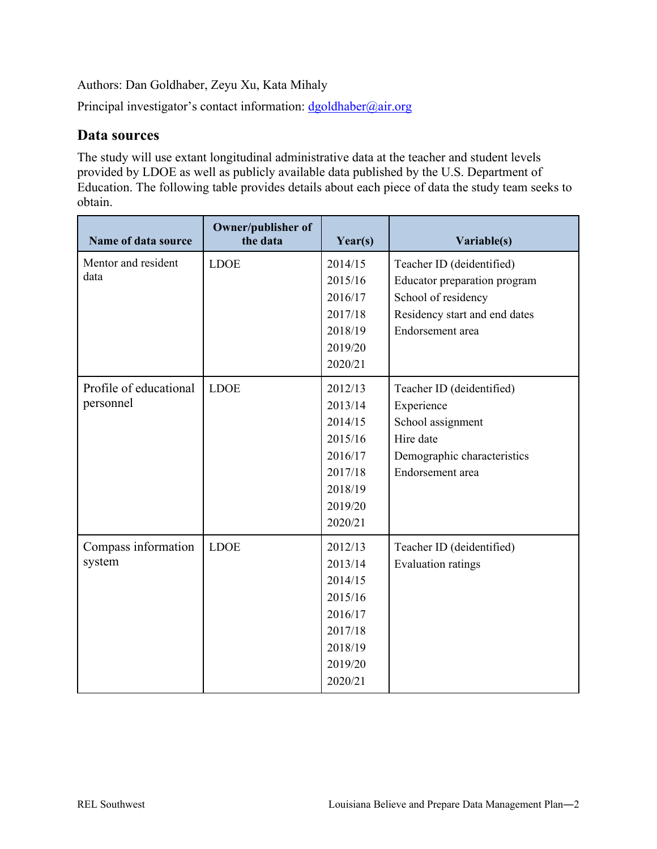Authors: Dan Goldhaber, Zeyu Xu, Kata Mihaly

Principal investigator's contact information:  $d$ goldhaber@air.org

#### **Data sources**

The study will use extant longitudinal administrative data at the teacher and student levels provided by LDOE as well as publicly available data published by the U.S. Department of Education. The following table provides details about each piece of data the study team seeks to obtain.

| Name of data source         | Owner/publisher of<br>the data | Year(s) | Variable(s)                   |
|-----------------------------|--------------------------------|---------|-------------------------------|
| Mentor and resident<br>data | <b>LDOE</b>                    | 2014/15 | Teacher ID (deidentified)     |
|                             |                                | 2015/16 | Educator preparation program  |
|                             |                                | 2016/17 | School of residency           |
|                             |                                | 2017/18 | Residency start and end dates |
|                             |                                | 2018/19 | Endorsement area              |
|                             |                                | 2019/20 |                               |
|                             |                                | 2020/21 |                               |
| Profile of educational      | <b>LDOE</b>                    | 2012/13 | Teacher ID (deidentified)     |
| personnel                   |                                | 2013/14 | Experience                    |
|                             |                                | 2014/15 | School assignment             |
|                             |                                | 2015/16 | Hire date                     |
|                             |                                | 2016/17 | Demographic characteristics   |
|                             |                                | 2017/18 | Endorsement area              |
|                             |                                | 2018/19 |                               |
|                             |                                | 2019/20 |                               |
|                             |                                | 2020/21 |                               |
| Compass information         | <b>LDOE</b>                    | 2012/13 | Teacher ID (deidentified)     |
| system                      |                                | 2013/14 | <b>Evaluation ratings</b>     |
|                             |                                | 2014/15 |                               |
|                             |                                | 2015/16 |                               |
|                             |                                | 2016/17 |                               |
|                             |                                | 2017/18 |                               |
|                             |                                | 2018/19 |                               |
|                             |                                | 2019/20 |                               |
|                             |                                | 2020/21 |                               |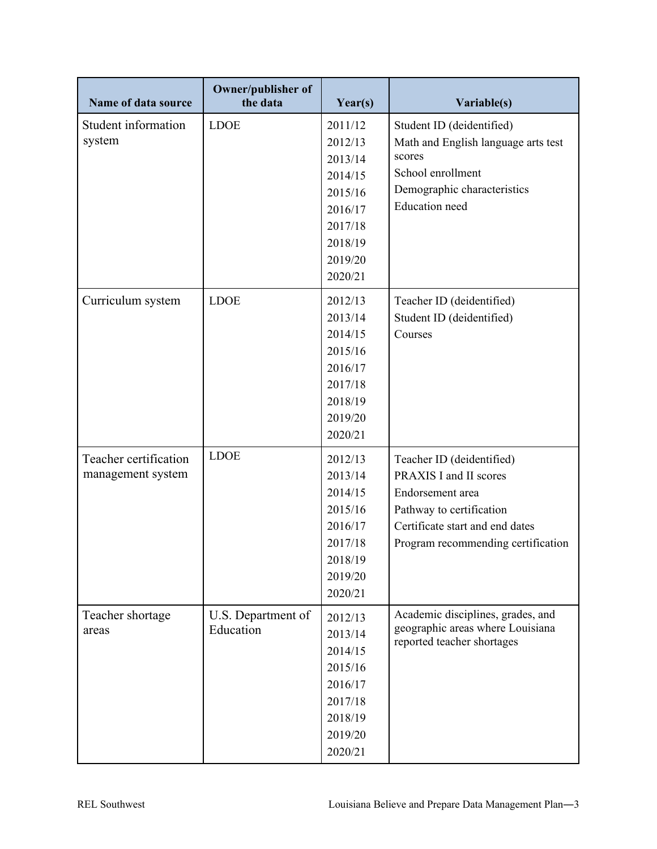| Name of data source                        | <b>Owner/publisher of</b><br>the data | Year(s)                                                                                                    | Variable(s)                                                                                                                                                                  |
|--------------------------------------------|---------------------------------------|------------------------------------------------------------------------------------------------------------|------------------------------------------------------------------------------------------------------------------------------------------------------------------------------|
| Student information<br>system              | <b>LDOE</b>                           | 2011/12<br>2012/13<br>2013/14<br>2014/15<br>2015/16<br>2016/17<br>2017/18<br>2018/19<br>2019/20<br>2020/21 | Student ID (deidentified)<br>Math and English language arts test<br>scores<br>School enrollment<br>Demographic characteristics<br><b>Education</b> need                      |
| Curriculum system                          | <b>LDOE</b>                           | 2012/13<br>2013/14<br>2014/15<br>2015/16<br>2016/17<br>2017/18<br>2018/19<br>2019/20<br>2020/21            | Teacher ID (deidentified)<br>Student ID (deidentified)<br>Courses                                                                                                            |
| Teacher certification<br>management system | <b>LDOE</b>                           | 2012/13<br>2013/14<br>2014/15<br>2015/16<br>2016/17<br>2017/18<br>2018/19<br>2019/20<br>2020/21            | Teacher ID (deidentified)<br>PRAXIS I and II scores<br>Endorsement area<br>Pathway to certification<br>Certificate start and end dates<br>Program recommending certification |
| Teacher shortage<br>areas                  | U.S. Department of<br>Education       | 2012/13<br>2013/14<br>2014/15<br>2015/16<br>2016/17<br>2017/18<br>2018/19<br>2019/20<br>2020/21            | Academic disciplines, grades, and<br>geographic areas where Louisiana<br>reported teacher shortages                                                                          |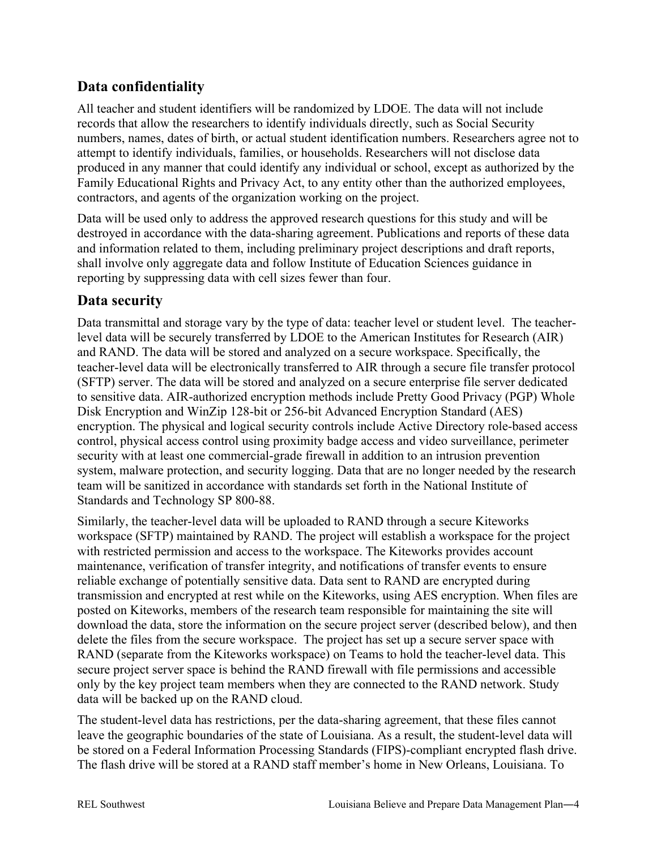## **Data confidentiality**

All teacher and student identifiers will be randomized by LDOE. The data will not include records that allow the researchers to identify individuals directly, such as Social Security numbers, names, dates of birth, or actual student identification numbers. Researchers agree not to attempt to identify individuals, families, or households. Researchers will not disclose data produced in any manner that could identify any individual or school, except as authorized by the Family Educational Rights and Privacy Act, to any entity other than the authorized employees, contractors, and agents of the organization working on the project.

Data will be used only to address the approved research questions for this study and will be destroyed in accordance with the data-sharing agreement. Publications and reports of these data and information related to them, including preliminary project descriptions and draft reports, shall involve only aggregate data and follow Institute of Education Sciences guidance in reporting by suppressing data with cell sizes fewer than four.

### **Data security**

Data transmittal and storage vary by the type of data: teacher level or student level. The teacherlevel data will be securely transferred by LDOE to the American Institutes for Research (AIR) and RAND. The data will be stored and analyzed on a secure workspace. Specifically, the teacher-level data will be electronically transferred to AIR through a secure file transfer protocol (SFTP) server. The data will be stored and analyzed on a secure enterprise file server dedicated to sensitive data. AIR-authorized encryption methods include Pretty Good Privacy (PGP) Whole Disk Encryption and WinZip 128-bit or 256-bit Advanced Encryption Standard (AES) encryption. The physical and logical security controls include Active Directory role-based access control, physical access control using proximity badge access and video surveillance, perimeter security with at least one commercial-grade firewall in addition to an intrusion prevention system, malware protection, and security logging. Data that are no longer needed by the research team will be sanitized in accordance with standards set forth in the National Institute of Standards and Technology SP 800-88.

Similarly, the teacher-level data will be uploaded to RAND through a secure Kiteworks workspace (SFTP) maintained by RAND. The project will establish a workspace for the project with restricted permission and access to the workspace. The Kiteworks provides account maintenance, verification of transfer integrity, and notifications of transfer events to ensure reliable exchange of potentially sensitive data. Data sent to RAND are encrypted during transmission and encrypted at rest while on the Kiteworks, using AES encryption. When files are posted on Kiteworks, members of the research team responsible for maintaining the site will download the data, store the information on the secure project server (described below), and then delete the files from the secure workspace. The project has set up a secure server space with RAND (separate from the Kiteworks workspace) on Teams to hold the teacher-level data. This secure project server space is behind the RAND firewall with file permissions and accessible only by the key project team members when they are connected to the RAND network. Study data will be backed up on the RAND cloud.

The student-level data has restrictions, per the data-sharing agreement, that these files cannot leave the geographic boundaries of the state of Louisiana. As a result, the student-level data will be stored on a Federal Information Processing Standards (FIPS)-compliant encrypted flash drive. The flash drive will be stored at a RAND staff member's home in New Orleans, Louisiana. To